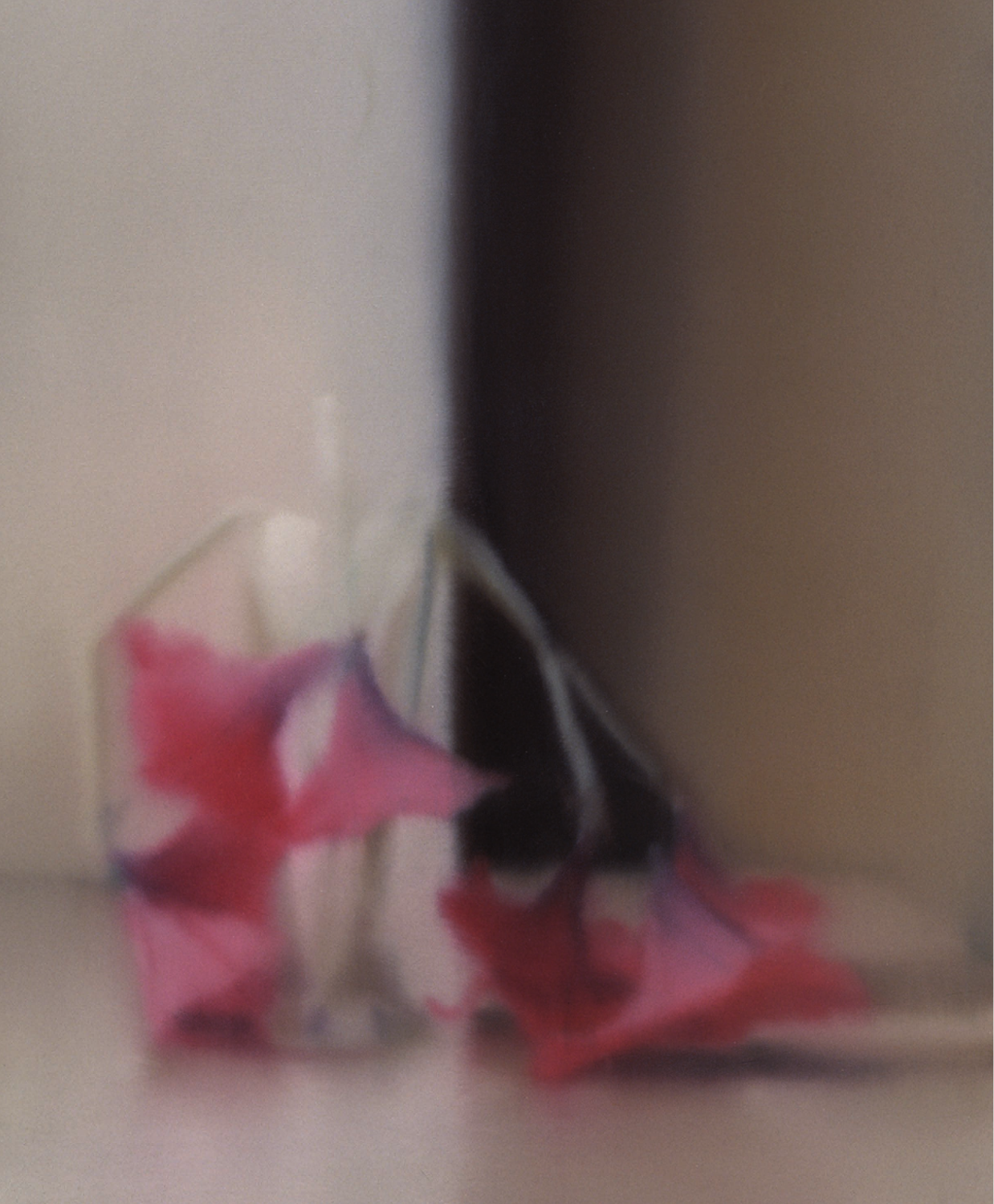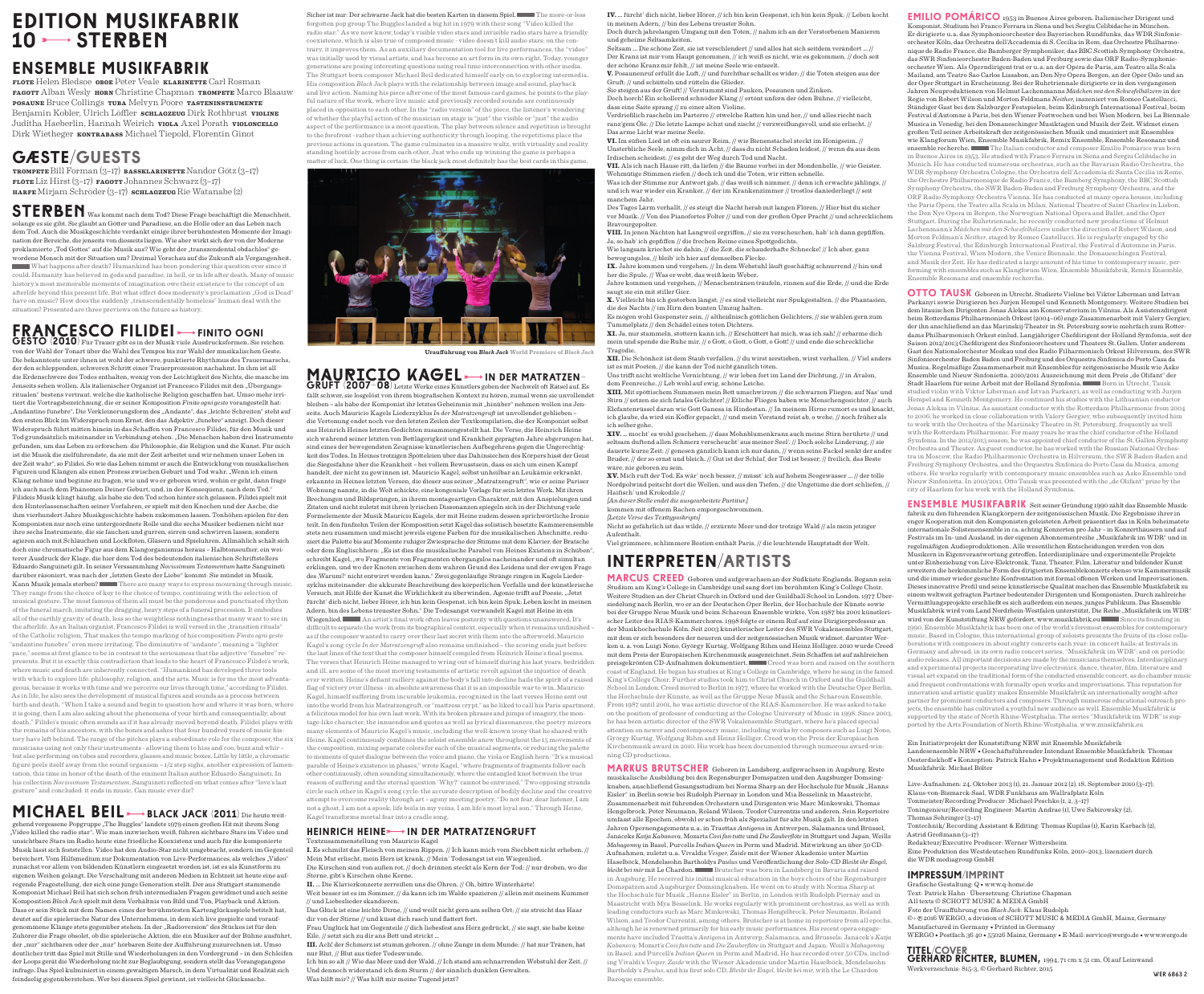# EDITION MUSIKFABRIK 10  $\longrightarrow$  STERBEN

# ENSEMBLE MUSIKFABRIK

**FLÖTE** Helen Bledsoe **OBOE** Peter Veale **KLARINETTE** Carl Rosman **FAGOTT** Alban Wesly **HORN** Christine Chapman **TROMPETE** Marco Blaauw **POSAUNE** Bruce Collings **TUBA** Melvyn Poore **TASTENINSTRUMENTE** Benjamin Kobler, Ulrich Löffler **SCHLAGZEUG** Dirk Rothbrust **VIOLINE** Juditha Haeberlin, Hannah Weirich **VIOLA** Axel Porath **VIOLONCELLO** Dirk Wietheger **KONTRABASS** Michael Tiepold, Florentin Ginot

# GÆSTE/GUESTS

**TROMPETE** Bill Forman (3–17) **BASSKLARINETTE** Nandor Götz (3–17) **FLÖTE** Liz Hirst (3–17) **FAGOTT** Johannes Schwarz (3–17) **HARFE** Mirjam Schröder (3–17) **SCHLAGZEUG** Rie Watanabe (2)

STERBEN Was kommt nach dem Tod? Diese Frage beschäftigt die Menschheit, solange es sie gibt. Sie glaubt an Götter und Paradiese, an die Hölle oder an das Leben nach dem Tod. Auch die Musikgeschichte verdankt einige ihrer berühmtesten Momente der Imagination der Bereiche, die jenseits von diesseits liegen. Wie aber wirkt sich der von der Moderne proklamierte "Tod Gottes" auf die Musik aus? Wie geht der "transzendental obdachlos" gewordene Mensch mit der Situation um? Dreimal Vorschau auf die Zukunft als Vergangenheit. What happens after death? Humankind has been pondering this question ever since it could. Humanity has believed in gods and paradise, in hell, or in life after death. Many of music history's most memorable moments of imagination owe their existence to the concept of an afterlife beyond this present life. But what effect does modernity's proclamation "God is Dead" have on music? How does the suddenly "transcendentally homeless" human deal with the situation? Presented are three previews on the future as history.

# FRANCESCO FILIDEI <del>—</del> finito ogni

GESTO (2010) Für Trauer gibt es in der Musik viele Ausdrucksformen. Sie reichen von der Wahl der Tonart über die Wahl des Tempos bis zur Wahl der musikalischen Geste. Die bekannteste unter ihnen ist wohl der schwere, punktierte Rhythmus des Trauermarschs, der den schleppenden, schweren Schritt einer Trauerprozession nachahmt. In ihm ist all die Erdenschwere des Todes enthalten, wenig von der Leichtigkeit des Nichts, die manche im Jenseits sehen wollen. Als italienischer Organist ist Francesco Filidei mit den "Übergangsritualen" bestens vertraut, welche die katholische Religion geschaffen hat. Umso mehr irritiert die Vortragsbezeichnung, die er seiner Komposition *Finito ogni gesto* vorangestellt hat: "Andantino funebre". Die Verkleinerungsform des "Andante", das "leichte Schreiten" steht auf den ersten Blick im Widerspruch zum Ernst, den das Adjektiv "funebre" anzeigt. Doch dieser Widerspruch führt mitten hinein in das Schaffen von Francesco Filidei, für den Musik und Tod grundsätzlich miteinander in Verbindung stehen. "Die Menschen haben drei Instrumente gefunden, um das Leben zu erforschen: die Philosophie, die Religion und die Kunst. Für mich ist die Musik die zielführendste, da sie mit der Zeit arbeitet und wir nehmen unser Leben in der Zeit wahr", so Filidei. So wie das Leben nimmt er auch die Entwicklung von musikalischen Figuren und Klängen als einen Prozess zwischen Geburt und Tod wahr. "Wenn ich einen

gehend vergessene Popgruppe "The Buggles" landete 1979 einen großen Hit mit ihrem Song "Video killed the radio star". Wie man inzwischen weiß, führen sichtbare Stars im Video und unsichtbare Stars im Radio heute eine friedliche Koexistenz und auch für die komponierte Musik lässt sich feststellen: Video hat den Audio-Star nicht umgebracht, sondern im Gegenteil bereichert. Vom Hilfsmedium zur Dokumentation von Live-Performances, als welches "Video" zunächst vor allem von bildenden Künstlern eingesetzt worden ist, ist es als Kunstform zu eigenen Weihen gelangt. Die Verschaltung mit anderen Medien in Echtzeit ist heute eine aufregende Fragestellung, der sich eine junge Generation stellt. Der aus Stugart stammende Komponist Michael Beil hat sich schon früh intermedialen Fragen gewidmet und auch seine Komposition *Black Jack* spielt mit dem Verhältnis von Bild und Ton, Playback und Aktion. Dass er sein Stück mit dem Namen eines der berühmtesten Kartenglücksspiele betitelt hat, deutet auf die spielerische Natur des Unternehmens, in dem sich live gespielte und voraufgenommene Klänge stets gegenüber stehen. In der "Radioversion" des Stückes ist für den Zuhörer die Frage obsolet, ob die spielerische Aktion, die ein Musiker auf der Bühne ausführt, der "nur" sichtbaren oder der "nur" hörbaren Seite der Aufführung zuzurechnen ist. Umso deutlicher tritt das Spiel mit Stille und Wiederholungen in den Vordergrund – in den Schleifen der Loops gerät die Wiederholung nicht zur Beglaubigung, sondern stellt das Vorangegangene infrage. Das Spiel kulminiert in einem gewaltigen Marsch, in dem Virtualität und Realität sich feindselig gegenüberstehen. Wer bei diesem Spiel gewinnt, ist vielleicht Glückssache.

Sicher ist nur: Der schwarze Jack hat die besten Karten in diesem Spiel. The more-or-less forgotten pop group The Buggles landed a big hit in 1979 with their song "Video killed the radio star." As we now know, today's visible video stars and invisible radio stars have a friendly coexistence, which is also true of composed music - video doesn't kill audio stars; on the contrary, it improves them. As an auxiliary documentation tool for live performances, the "video" was initially used by visual artists, and has become an art form in its own right. Today, younger generations are posing interesting questions using real time interconnection with other media. The Stuttgart born composer Michael Beil dedicated himself early on to exploring intermedia. His composition *Black Jack* plays with the relationship between image and sound, playback and live action. Naming his piece after one of the most famous card games, he points to the playful nature of the work, where live music and previously recorded sounds are continuously placed in opposition to each other. In the "radio version" of the piece, the listener's wondering of whether the playful action of the musician on stage is "just" the visible or "just" the audio aspect of the performance is a moot question. The play between silence and repetition is brought to the forefront - rather than achieving authenticity through looping, the repetitions place the previous actions in question. The game culminates in a massive waltz, with virtuality and reality standing hostilely across from each other. Just who ends up winning the game is perhaps a matter of luck. One thing is certain: the black jack most definitely has the best cards in this game.

Klang nehme und beginne zu fragen, wie und wo er geboren wird, wohin er geht, dann frage ich auch nach dem Phänomen Deiner Geburt, und, in der Konsequenz, nach dem Tod." Filideis Musik klingt häug, als habe sie den Tod schon hinter sich gelassen. Filidei spielt mit den Hinterlassenscha en seiner Vorfahren, er spielt mit den Knochen und der Asche, die ihm vierhundert Jahre Musikgeschichte haben zukommen lassen. Tonhöhen spielen für den Komponisten nur noch eine untergeordnete Rolle und die sechs Musiker bedienen nicht nur ihre sechs Instrumente, die sie fauchen und gurren, sirren und schwirren lassen, sondern agieren auch mit Schläuchen und Lock¡öten, Gläsern und Spieluhren. Allmählich schält sich doch eine chromatische Figur aus dem Klangorganismus heraus – Halbtonseufzer, ein weiterer Ausdruck der Klage, die hier dem Tod des bedeutenden italienischen Schriftstellers Eduardo Sanguineti gilt. In seiner Verssammlung Novissimum Testamentum hatte Sanguineti darüber räsoniert, was nach der "letzten Geste der Liebe" kommt: Sie mündet in Musik. Kann Musik jemals sterben? There are many ways to express mourning through music. They range from the choice of key to the choice of tempo, continuing with the selection of musical gesture. The most famous of them all must be the ponderous and punctuated rhythm of the funeral march, imitating the dragging, heavy steps of a funeral procession. It embodies all of the earthly gravity of death, less so the weightless nothingness that many want to see in the afterlife. As an Italian organist, Francesco Filidei is well versed in the "transition rituals" of the Catholic religion. That makes the tempo marking of his composition *Finito ogni gesto* "andantino funebre" even more irritating. The diminutive of "andante", meaning a "lighter pace," seems at first glance to be in contrast to the seriousness that the adjective "funebre" represents. But it is exactly this contradiction that leads to the heart of Francesco Filidei's work, where music and death are inherently connected. "Humankind has developed three tools with which to explore life: philosophy, religion, and the arts. Music is for me the most advantageous, because it works with time and we perceive our lives through time," according to Filidei. As in life, he also sees the development of musical figures and sounds as a process between birth and death. "When I take a sound and begin to question how and where it was born, where it is going, then I am also asking about the phenomena of your birth and consequentially, about death." Filidei's music often sounds as if it has already moved beyond death. Filidei plays with the remains of his ancestors, with the bones and ashes that four hundred years of music history have left behind. The range of the pitches plays a subordinate role for the composer, the six musicians using not only their instruments - allowing them to hiss and coo, buzz and whir – but also performing on tubes and recorders, glasses and music boxes. Little by little, a chromatic figure peels itself away from the sound organism –  $1/2$  step sighs, another expression of lamentation, this time in honor of the death of the eminent Italian author Eduardo Sanguineti. In his collection *Novissimum Testamentum*, Sanguineti reflected on what comes after "love's last gesture" and concluded: it ends in music. Can music ever die?

### MICHAEL BEIL»-> black Jack (2011) Die heute weit-

 $GRUFT$   $(\overline{2007-08})$  Letzte Werke eines Künstlers geben der Nachwelt oft Rätsel auf. Es fällt schwer, sie losgelöst von ihrem biografischen Kontext zu hören, zumal wenn sie unvollendet bleiben – als habe der Komponist ihr letztes Geheimnis mit "hinüber" nehmen wollen ins Jenseits. Auch Mauricio Kagels Liederzyklus In der Matratzengruft ist unvollendet geblieben die Vertonung endet noch vor den letzten Zeilen der Textkompilation, die der Komponist selbst aus Heinrich Heines letzten Gedichten zusammengestellt hat. Die Verse, die Heinrich Heine sich während seiner letzten von Belägerigkeit und Krankheit geprägten Jahre abgerungen hat, sind eines der bewegendsten Zeugnisse künstlerischen Aufbegehrens gegen die Ungerechtigkeit des Todes. In Heines trotzigen Spötteleien über das Dahinsiechen des Körpers hisst der Geist die Siegesfahne über die Krankheit – bei vollem Bewusstsein, dass es sich um einen Kampf handelt, der nicht zu gewinnen ist. Mauricio Kagel, selbst unheilbar an Leukämie erkrankt, erkannte in Heines letzten Versen, die dieser aus seiner "Matratzengruft", wie er seine Pariser Wohnung nannte, in die Welt schickte, eine kongeniale Vorlage für sein letztes Werk. Mit ihren Brechungen und Bildsprüngen, in ihrem montageartigen Charakter, mit den Anspielungen und Zitaten und nicht zuletzt mit ihren lyrischen Dissonanzen spiegeln sich in der Dichtung viele Formelemente der Musik Mauricio Kagels, der mit Heine zudem dessen sprichwörtliche Ironie teilt. In den fünfzehn Teilen der Komposition setzt Kagel das solistisch besetzte Kammerensemble stets neu zusammen und mischt jeweils eigene Farben für die musikalischen Abschnie, reduziert die Palette bis auf Momente ruhiger Zwiesprache der Stimme mit dem Klavier, der Bratsche oder dem Englischhorn: "Es ist dies die musikalische Parabel von Heines Existenz in Schüben", schreibt Kagel, "wo Fragmente von Fragmenten übergangslos nacheinander und oft simultan erklingen, und wo der Knoten zwischen dem wahren Grund des Leidens und der ewigen Frage des 'Warum?' nicht entwirrt werden kann." Zwei gegenläuge Stränge ringen in Kagels Liederzyklus miteinander: die akkurate Beschreibung des körperlichen Verfalls und der künstlerische Versuch, mit Hilfe der Kunst die Wirklichkeit zu überwinden, Agonie trifft auf Poesie. "Jetzt fürcht' dich nicht, lieber Hörer, ich bin kein Gespenst, ich bin kein Spuk; Leben kocht in meinen Adern, bin des Lebens treuester Sohn." Die Todesangst verwandelt Kagel mit Heine in ein Wiegenlied. An artist's final work often leaves posterity with questions unanswered. It's difficult to separate the work from its biographical context, especially when it remains unfinished as if the composer wanted to carry over their last secret with them into the afterworld. Mauricio Kagel's song cycle *In der Matratzengruft* also remains unfinished - the scoring ends just before the last lines of the text that the composer himself compiled from Heinrich Heine's final poems. The verses that Heinrich Heine managed to wring out of himself during his last years, bedridden and ill, are some of the most moving testaments of artistic revolt against the injustice of death ever written. Heine's defiant raillery against the body's fall into decline hails the spirit of a raised flag of victory over illness - in absolute awareness that it is an impossible war to win. Mauricio Kagel, himself suffering from incurable leukemia, recognized in the last verses Heine sent out into the world from his Matratzengruft, or "mattress crypt," as he liked to call his Paris apartment, a felicitous model for his own last work. With its broken phrases and jumps of imagery, the montage-like character, the innuendos and quotes as well as lyrical dissonances, the poetry mirrors many elements of Mauricio Kagel's music, including the well-known irony that he shared with Heine. Kagel continuously combines the soloist ensemble anew throughout the 15 movements of the composition, mixing separate colors for each of the musical segments, or reducing the palette to moments of quiet dialogue between the voice and piano, the viola or English horn: "It's a musical parable of Heine's existence in phases," wrote Kagel, "where fragments of fragments follow each other continuously, often sounding simultaneously, where the entangled knot between the true reason of suffering and the eternal question 'Why?' cannot be entwined." Two opposing strands circle each other in Kagel's song cycle: the accurate description of bodily decline and the creative attempt to overcome reality through art – agony meeting poetry. "Do not fear, dear listener, I am not a ghost, I am not a spook; life boils in my veins, I am life's most loyal son." Through Heine, Kagel transforms mortal fear into a cradle song.

### HEINRICH HEINE>→ IN DER MATRATZENGRUFT Textzusammenstellung von Mauricio Kagel

I. Es schmilzt das Fleisch von meinen Rippen. // Ich kann mich vom Siechbett nicht erheben. // Mein Mut erlischt, mein Herz ist krank. // Mein' Todesangst ist ein Wiegenlied. Die Kirschen sind von außen rot, // doch drinnen steckt als Kern der Tod; // nur droben, wo die Sterne, gibt's Kirschen ohne Kerne.

II. ... Die Klavierkonzerte zerreißen uns die Ohren. // Oh, bittre Winterhärte!

Das Glück ist eine leichte Dirne, // und weilt nicht gern am selben Ort; // sie streicht das Haar dir von der Stirne // und küsst dich rasch und flattert fort.

Frau Unglück hat im Gegenteile // dich liebesfest ans Herz gedrückt, // sie sagt, sie habe keine Eile, // setzt sich zu dir ans Bett und strickt ...

Seltsam ... Die schöne Zeit, sie ist verschlendert // und alles hat sich seitdem verändert ... // Der Kranz ist mir vom Haupt genommen, // ich weiß es nicht, wie es gekommen, // doch seit der schöne Kranz mir fehlt, // ist meine Seele wie entseelt. V. Posaunenruf erfüllt die Luft, // und furchtbar schallt es wider; // die Toten steigen aus der Gruft; // und schütteln und rütteln die Glieder. Sie steigen aus der Gruft! // Verstummt sind Pauken, Posaunen und Zinken.

Doch horch! Ein schollernd schnöder Klang // ertönt unfern der öden Bühne, // vielleicht, dass eine Saite sprang // zu einer alten Violine. Verdrießlich rascheln im Parterre // etwelche Ratten hin und her, // und alles riecht nach

ranz'gem Öle. // Die letzte Lampe ächzt und zischt // verzweiflungsvoll, und sie erlischt. // Das arme Licht war meine Seele.

VI. Im süßen Lied ist oft ein saurer Reim, // wie Bienenstachel steckt im Honigseim. // Unsterbliche Seele, nimm dich in Acht, // dass du nicht Schaden leidest, // wenn du aus dem Irdischen scheidest; // es geht der Weg durch Tod und Nacht. VII. Als ich nach Hause ritt, da liefen // die Bäume vorbei in der Mondenhelle, // wie Geister. Wehmütige Stimmen riefen // doch ich und die Toten, wir ritten schnelle Was ich der Stimme zur Antwort gab, // das weiß ich nimmer, // denn ich erwachte jählings, // und ich war wieder ein Kranker, // der im Krankenzimmer // trostlos daniederliegt // seit manchem Jahr.

VIII. In jenen Nächten hat Langweil ergriffen, // sie zu verscheuchen, hab' ich dann gepfiffen Ja, so hab' ich gepfiffen // die frechen Reime eines Spottgedichts. Wie langsam kriechet sie dahin, // die Zeit, die schauderhafte Schnecke! // Ich aber, ganz bewegungslos, // bleib' ich hier auf demselben Flecke. **IX.** Jahre kommen und vergehen. // In dem Webstuhl läuft geschäftig schnurrend // hin und her die Spule. // Was er webt, das weiß kein Weber. Jahre kommen und vergehen, // Menschentränen träufeln, rinnen auf die Erde, // und die Erde

XI. Ja, nur stammeln, stottern kann ich. // Erschüttert hat mich, was ich sah! // erbarme dich mein und spende die Ruhe mir, // o Gott, o Gott, o Gott, o Gott! // und ende die schreckliche Tragödie.

XV. Mich ruft der Tod. Es wär' noch besser, // müsst' ich auf hohem Seegewässer ... // der tolle Nordpolwind peitscht dort die Wellen, und aus den Tiefen, // die Ungetüme die dort schliefen, // Haisch' und Krokodile //

*[An dieser Stelle endet die ausgearbeitete Partitur.]*  kommen mit offenem Rachen emporgeschwommen.

*[Letzte Verse des Texttyposkripts*]

Bartholdy's Paulus, and his first solo CD, *Bleibt ihr Engel, bleibt bei mir*, with the Le Chardon Baroque ensemble.

Weit besser ist es im Sommer, // da kann ich im Walde spazieren // allein mit meinem Kummer // und Liebeslieder skandieren.

**III.** Ach! der Schmerz ist stumm geboren, // ohne Zunge in dem Munde; // hat nur Tränen, hat nur Blut, // Blut aus tiefer Todeswunde.

Ich bin so alt // Wie das Meer und der Wald. // Ich stand am schnarrenden Webstuhl der Zeit. // Und dennoch widerstand ich dem Sturm // der sinnlich dunklen Gewalten.

Was hilft mir? // Was hilft mir meine Tugend jetzt?

**IV.** ... fürcht' dich nicht, lieber Hörer, // ich bin kein Gespenst, ich bin kein Spuk; // Leben kocht in meinen Adern, // bin des Lebens treuster Sohn. Doch durch jahrelangen Umgang mit den Toten, // nahm ich an der Verstorbenen Manieren und geheime Seltsamkeiten.

> Ein Initiativprojekt der Kunststiftung NRW mit Ensemble Musikfabrik Landesensemble NRW • Geschäftsführender Intendant Ensemble Musikfabrik: Thomas Oesterdiekhoff • Konzeption: Patrick Hahn • Projektmanagement und Redaktion Edition Musikfabrik: Michael Bölter

Foto der Uraufführung von Black Jack: Klaus Rudolph ©+  2016 WERGO, a division of SCHOTT MUSIC & MEDIA GmbH, Mainz, Germany Manufactured in Germany • Printed in Germany WERGO • Postfach 36 40 • 55026 Mainz, Germany • E-Mail: service@wergo.de • www.wergo.de

Des Tages Lärm verhallt, // es steigt die Nacht herab mit langen Flören. // Hier bist du sicher vor Musik. // Von des Pianofortes Folter // und von der großen Oper Pracht // und schrecklichem Bravourgepolter.

saugt sie ein mit stiller Gier. **X.** Vielleicht bin ich gestorben längst; // es sind vielleicht nur Spukgestalten, // die Phantasien, die des Nachts // im Hirn den bunten Umzug halten. Es mögen wohl Gespenster sein, // altheidnisch gölichen Gelichters, // sie wählen gern zum Tummelplatz // den Schädel eines toten Dichters.

**XII.** Die Schönheit ist dem Staub verfallen, // du wirst zerstieben, wirst verhallen. // Viel anders ist es mit Poeten, // die kann der Tod nicht gänzlich töten. Uns trifft nicht weltliche Vernichtung, // wir leben fort im Land der Dichtung, // in Avalon, dem Feenreiche. // Leb wohl auf ewig, schöne Leiche. **XIII.** Mit spöttischem Summsen mein Bett umschwirren // die schwarzen Fliegen; auf Nas' und Stirn // setzen sie sich fatales Gelichter! // Etliche Fliegen haben wie Menschengesichter, // auch Elefantenrüssel daran wie Gott Ganesa in Hindostan. // In meinem Hirne rumort es und knackt, ich glaube, da wird ein Koffer gepackt, // und mein Verstand reist ab, o wehe, // noch früher als ich selber gehe.

**XIV.** ... mocht' es wohl geschehen, // dass Mohnblumenkranz auch meine Stirn berührte // und seltsam duftend allen Schmerz verscheucht' aus meiner Seel'. // Doch solche Linderung, // sie dauerte kurze Zeit; // genesen gänzlich kann ich nur dann, // wenn seine Fackel senkt der andre Bruder, // der so ernst und bleich. // Gut ist der Schlaf, der Tod ist besser, // freilich, das Beste wäre, nie geboren zu sein.

Nicht so gefährlich ist das wilde, // erzürnte Meer und der trotzige Wald // als mein jetziger Aufenthalt. Viel grimmere, schlimmere Bestien enthält Paris, // die leuchtende Hauptstadt der Welt.

# INTERPRETEN/ARTISTS

MARCUS CREED Geboren und aufgewachsen an der Südküste Englands. Begann sein Studium am King's College in Cambridge und sang dort im berühmten King's College Choir. Weitere Studien an der Christ Church in Oxford und der Guildhall School in London. 1977 Übersiedelung nach Berlin, wo er an der Deutschen Oper Berlin, der Hochschule der Künste sowie bei der Gruppe Neue Musik und beim Scharoun Ensemble wirkte. Von 1987 bis 2001 künstlerischer Leiter des RIAS-Kammerchores. 1998 folgte er einem Ruf auf eine Dirigierprofessur an der Musikhochschule Köln. Seit 2003 künstlerischer Leiter des SWR Vokalensembles Stugart, mit dem er sich besonders der neueren und der zeitgenössischen Musik widmet, darunter Werken u. a. von Luigi Nono, György Kurtág, Wolfgang Rihm und Heinz Holliger. 2010 wurde Creed mit dem Preis der Europäischen Kirchenmusik ausgezeichnet. Sein Schaffen ist auf zahlreichen preisgekrönten CD-Aufnahmen dokumentiert. Creed was born and raised on the southern coast of England. He began his studies at King's College in Cambridge, where he sang in the famed King's College Choir. Further studies took him to Christ Church in Oxford and the Guildhall School in London. Creed moved to Berlin in 1977, where he worked with the Deutsche Oper Berlin, the Hochschule der Künste, as well as the Gruppe Neue Musik and the Scharoun Ensemble. From 1987 until 2001, he was artistic director of the RIAS-Kammerchor. He was asked to take on the position of professor of conducting at the Cologne University of Music in 1998. Since 2003, he has been artistic director of the SWR Vokalensemble Stuttgart, where he's placed special attention on newer and contemporary music, including works by composers such as Luigi Nono, György Kurtág, Wolfgang Rihm and Heinz Holliger. Creed won the Preis der Europäischen Kirchenmusik award in 2010. His work has been documented through numerous award-winning CD productions.

MARKUS BRUTSCHER Geboren in Landsberg, aufgewachsen in Augsburg. Erste

#### musikalische Ausbildung bei den Regensburger Domspatzen und den Augsburger Domsingknaben, anschließend Gesangsstudium bei Norma Sharp an der Hochschule für Musik "Hanns Eisler" in Berlin sowie bei Rudolph Piernay in London und Mia Besselink in Maastricht. Zusammenarbeit mit führenden Orchestern und Dirigenten wie Marc Minkowski, Thomas Hengelbrock, Peter Neumann, Roland Wilson, Teodor Currentzis und anderen. Sein Repertoire umfasst alle Epochen, obwohl er schon früh als Spezialist für alte Musik galt. In den letzten Jahren Opernengagements u.a. in Traettas *Antigona* in Antwerpen, Salamanca und Brüssel, Janáceks *Katja Kabanova*, Mozarts *Così fan tue* und *Die Zauberöte* in Stugart und Japan, Weills *Mahagonny* in Basel, Purcells *Indian Queen* in Perm und Madrid. Mitwirkung an über 50 CD-Aufnahmen, zuletzt u. a. Vivaldis *Vesper*, *Zaide* mit der Wiener Akademie unter Martin Haselböck, Mendelssohn Bartholdys Paulus und Veröffentlichung der Solo-CD Bleibt ihr Engel, *bleibt bei mir* mit Le Chardon. Brutscher was born in Landsberg in Bavaria and raised in Augsburg. He received his initial musical education in the boys choirs of the Regensburger Domspatzen and Augsburger Domsingknaben. He went on to study with Norma Sharp at the Hochschule für Musik "Hanns Eisler" in Berlin, in London with Rudolph Piernay and in Maastricht with Mya Besselink. He works regularly with prominent orchestras, as well as with leading conductors such as Marc Minkowski, Thomas Hengelbrock, Peter Neumann, Roland Wilson, and Teodor Currentzi, among others. Brutscher is at home in repertoire from all epochs, although he is renowned primarily for his early music performances. His recent opera engagements have included Traea's *Antigona* in Antwerp, Salamanca, and Brussels; Janácek's *Katja Kabanova*; Mozart's *Così fan tue* and *Die Zauberöte* in Stugart and Japan; Weill's *Mahagonny* in Basel; and Purcell's *Indian Queen* in Perm and Madrid. He has recorded over 50 CDs, including Vivaldi's *Vesper*, *Zaide* with the Wiener Akademie under Martin Haselböck, Mendelssohn

EMILIO POMÁRICO 1953 in Buenos Aires geboren. Italienischer Dirigent und Komponist. Studium bei Franco Ferrara in Siena und bei Sergiu Celibidache in München. Er dirigierte u. a. das Symphonieorchester des Bayerischen Rundfunks, das WDR Sinfonieorchester Köln, das Orchestra dell'Accademia di S. Cecilia in Rom, das Orchestre Philharmonique de Radio France, die Bamberger Symphoniker, das BBC Scoish Symphony Orchestra, das SWR Sinfonieorchester Baden-Baden und Freiburg sowie das ORF Radio-Symphonieorchester Wien. Als Operndirigent trat er u. a. an der Opéra de Paris, am Teatro alla Scala Mailand, am Teatro Sao Carlos Lissabon, an Den Nye Opera Bergen, an der Oper Oslo und an der Oper Stuttgart in Erscheinung. Bei der Ruhrtriennale dirigierte er in den vergangenen Jahren Neuproduktionen von Helmut Lachenmanns *Mädchen mit den Schwefelhölzern* in der Regie von Robert Wilson und Morton Feldmans *Neither*, inszeniert von Romeo Castellucci. Ständiger Gast bei den Salzburger Festspielen, beim Edinburgh International Festival, beim Festival d'Automne à Paris, bei den Wiener Festwochen und bei Wien Modern, bei La Biennale Musica in Venedig, bei den Donaueschinger Musiktagen und Musik der Zeit. Widmet einen großen Teil seiner Arbeitskraft der zeitgenössischen Musik und musiziert mit Ensembles wie Klangforum Wien, Ensemble Musikfabrik, Remix Ensemble, Ensemble Resonanz und ensemble recherche. The Italian conductor and composer Emilio Pomàrico was born in Buenos Aires in 1953. He studied with Franco Ferrara in Siena and Sergiu Celibidache in Munich. He has conducted numerous orchestras, such as the Bavarian Radio Orchestra, the WDR Symphony Orchestra Cologne, the Orchestra dell'Accademia di Santa Cecilia in Rome, the Orchestre Philharmonique de Radio France, the Bamberg Symphony, the BBC Scoish Symphony Orchestra, the SWR Baden-Baden and Freiburg Symphony Orchestra, and the ORF Radio Symphony Orchestra Vienna. He has conducted at many opera houses, including the Paris Opera, the Teatro alla Scala in Milan, National Theatre of Saint Charles in Lisbon, the Den Nye Opera in Bergen, the Norwegian National Opera and Ballet, and the Oper Stuttgart. During the Ruhrtriennale, he recently conducted new productions of Helmut Lachenmann's *Mädchen mit den Schwefelhölzern* under the direction of Robert Wilson, and Morton Feldman's *Neither*, staged by Romeo Castellucci. He is regularly engaged by the Salzburg Festival, the Edinburgh International Festival, the Festival d'Automne in Paris, the Vienna Festival, Wien Modern, the Venice Biennale, the Donaueschingen Festival, and Musik der Zeit. He has dedicated a large amount of his time to contemporary music, performing with ensembles such as Klangforum Wien, Ensemble Musikfabrik, Remix Ensemble, Ensemble Resonanz and ensemble recherche.

OTTO TAUSK Geboren in Utrecht. Studierte Violine bei Viktor Liberman und Istvan Parkanyi sowie Dirigieren bei Jurjen Hempel und Kenneth Montgomery. Weitere Studien bei dem litauischen Dirigenten Jonas Aleksa am Konservatorium in Vilnius. Als Assistenzdirigent beim Rotterdams Philharmonisch Orkest (2004–06) enge Zusammenarbeit mit Valery Gergiev der ihn anschließend an das Marinskij-Theater in St. Petersburg sowie mehrfach zum Rotterdams Philharmonisch Orkest einlud. Langjähriger Chefdirigent der Holland Symfonia, seit der Saison 2012/2013 Chefdirigent des Sinfonieorchesters und Theaters St. Gallen. Unter anderem Gast des Nationalorchester Moskau und des Radio Filharmonisch Orkest Hilversum, des SWR Sinfonieorchester Baden Baden und Freiburg und des Orquestra Sinfónica do Porto Casa da Musica. Regelmäßige Zusammenarbeit mit Ensembles für zeitgenössische Musik wie Asko Ensemble und Nieuw Sinfonietta. 2010/2011 Auszeichnung mit dem Preis "de Olifant" der Stadt Haarlem für seine Arbeit mit der Holland Symfonia. Born in Utrecht, Tausk studied violin with Viktor Liberman and Istvan Parkanyi, as well as conducting with Jurjen Hempel and Kenneth Montgomery. He continued his studies with the Lithuanian conductor Jonas Aleksa in Vilnius. As assistant conductor with the Rotterdam Philharmonic from 2004 to 2006, he worked in close collaboration with Valery Gergiev, who subsequently invited him to work with the Orchestra of the Mariinsky Theatre in St. Petersburg, frequently as well with the Rotterdam Philharmonic. For many years he was the chief conductor of the Holland Symfonia. In the 2012/2013 season, he was appointed chief conductor of the St. Gallen Symphony Orchestra and Theater. As guest conductor, he has worked with the Russian National Orchestra in Moscow, the Radio Philharmonic Orchestra in Hilversum, the SWR Baden-Baden and Freiburg Symphony Orchestra, and the Orquestra Sinfónica do Porto Casa da Musica, among others. He works regularly with contemporary music ensembles such as Asko Ensemble und Nieuw Sinfonietta. In 2010/2011, Otto Tausk was presented with the "de Olifant" prize by the city of Haarlem for his work with the Holland Symfonia.

ENSEMBLE MUSIKFABRIK Seit seiner Gründung 1990 zählt das Ensemble Musikfabrik zu den führenden Klangkörpern der zeitgenössischen Musik. Die Ergebnisse ihrer in enger Kooperation mit den Komponisten geleisteten Arbeit präsentiert das in Köln beheimatete internationale Solistenensemble in ca. achtzig Konzerten pro Jahr – in Konzerthäusern und auf Festivals im In- und Ausland, in der eigenen Abonnementreihe "Musikfabrik im WDR" und in regelmäßigen Audioproduktionen. Alle wesentlichen Entscheidungen werden von den Musikern in Eigenverantwortung getroffen. Interdisziplinäre und experimentelle Projekte unter Einbeziehung von Live-Elektronik, Tanz, Theater, Film, Literatur und bildender Kunst erweitern die herkömmliche Form des dirigierten Ensemblekonzerts ebenso wie Kammermusik und die immer wieder gesuchte Konfrontation mit formal offenen Werken und Improvisationen. Dieses innovative Profil und seine künstlerische Qualität machen das Ensemble Musikfabrik zu einem weltweit gefragten Partner bedeutender Dirigenten und Komponisten. Durch zahlreiche Vermilungsprojekte erschließt es sich außerdem ein neues, junges Publikum. Das Ensemble Musikfabrik wird vom Land Nordrhein-Westfalen unterstützt. Die Reihe "Musikfabrik im WDR" wird von der Kunststiftung NRW gefördert. www.musikfabrik.eu Since its founding in 1990, Ensemble Musikfabrik has been one of the world's foremost ensembles for contemporary music. Based in Cologne, this international group of soloists presents the fruits of its close collaborations with composers in about eighty concerts each year: in concert halls; at festivals in Germany and abroad; in its own radio concert series, "Musikfabrik im WDR"; and on periodic audio releases. All important decisions are made by the musicians themselves. Interdisciplinary and experimental projects incorporating live electronics, dance, theater, film, literature and visual art expand on the traditional form of the conducted ensemble concert, as do chamber music and frequent confrontations with formally open works and improvisations. This reputation for innovation and artistic quality makes Ensemble Musikfabrik an internationally sought-after partner for prominent conductors and composers. Through numerous educational outreach projects, the ensemble has cultivated a youthful new audience as well. Ensemble Musikfabrik is supported by the state of North Rhine-Westphalia. The series "Musikfabrik im WDR" is supported by the Arts Foundation of North Rhine-Westphalia. www.musikfabrik.eu

Live-Aufnahmen: 24. Oktober 2013 (1), 21. Januar 2012 (2), 18. September 2010 (3–17), Klaus-von-Bismarck-Saal, WDR Funkhaus am Wallrafplatz Köln Tonmeister/Recording Producer: Michael Peschko (1, 2, 3–17) Toningenieur/Recording Engineer: Martin Andrae (1), Uwe Sabirowsky (2), Thomas Sehringer (3–17) Tontechnik/ Recording Assistant & Editing: Thomas Kupilas (1), Karin Karbach (2), Astrid Großmann (3–17) Redakteur/Executive Producer: Werner Wittersheim Eine Produktion des Westdeutschen Rundfunks Köln, 2010–2013, lizenziert durch die WDR mediagroup GmbH IMPRESSUM/IMPRINT Grasche Gestaltung: Q • www.q-home.de Text: Patrick Hahn | Übersetzung: Christine Chapman All texts © SCHOTT MUSIC & MEDIA GmbH

### TITEL/COVER

GERHARD RICHTER, BLUMEN, 1994, 71 cm x 51 cm, Öl auf Leinwand Werkverzeichnis: 815-3, © Gerhard Richter, 2015



Urauührung von *Black Jack* World Premiere of *Black Jack*

# MAURICIO KAGEL--- in der matratzen–